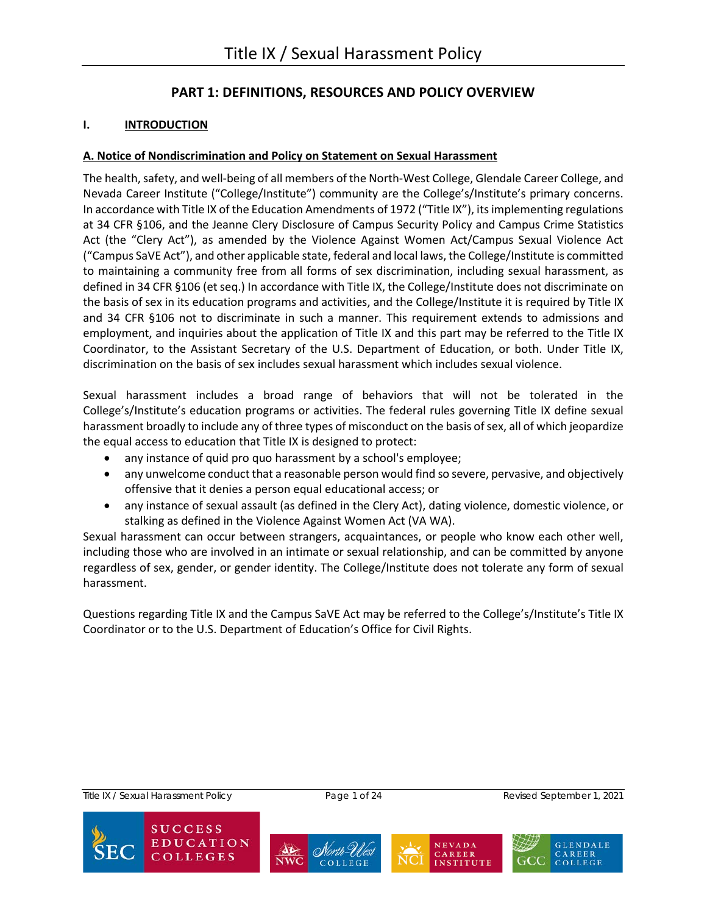# **PART 1: DEFINITIONS, RESOURCES AND POLICY OVERVIEW**

## **I. INTRODUCTION**

### **A. Notice of Nondiscrimination and Policy on Statement on Sexual Harassment**

The health, safety, and well-being of all members of the North-West College, Glendale Career College, and Nevada Career Institute ("College/Institute") community are the College's/Institute's primary concerns. In accordance with Title IX of the Education Amendments of 1972 ("Title IX"), its implementing regulations at 34 CFR §106, and the Jeanne Clery Disclosure of Campus Security Policy and Campus Crime Statistics Act (the "Clery Act"), as amended by the Violence Against Women Act/Campus Sexual Violence Act ("Campus SaVE Act"), and other applicable state, federal and local laws, the College/Institute is committed to maintaining a community free from all forms of sex discrimination, including sexual harassment, as defined in 34 CFR §106 (et seq.) In accordance with Title IX, the College/Institute does not discriminate on the basis of sex in its education programs and activities, and the College/Institute it is required by Title IX and 34 CFR §106 not to discriminate in such a manner. This requirement extends to admissions and employment, and inquiries about the application of Title IX and this part may be referred to the Title IX Coordinator, to the Assistant Secretary of the U.S. Department of Education, or both. Under Title IX, discrimination on the basis of sex includes sexual harassment which includes sexual violence.

Sexual harassment includes a broad range of behaviors that will not be tolerated in the College's/Institute's education programs or activities. The federal rules governing Title IX define sexual harassment broadly to include any of three types of misconduct on the basis ofsex, all of which jeopardize the equal access to education that Title IX is designed to protect:

- any instance of quid pro quo harassment by a school's employee;
- any unwelcome conduct that a reasonable person would find so severe, pervasive, and objectively offensive that it denies a person equal educational access; or
- any instance of sexual assault (as defined in the Clery Act), dating violence, domestic violence, or stalking as defined in the Violence Against Women Act (VA WA).

Sexual harassment can occur between strangers, acquaintances, or people who know each other well, including those who are involved in an intimate or sexual relationship, and can be committed by anyone regardless of sex, gender, or gender identity. The College/Institute does not tolerate any form of sexual harassment.

Questions regarding Title IX and the Campus SaVE Act may be referred to the College's/Institute's Title IX Coordinator or to the U.S. Department of Education's Office for Civil Rights.



Title IX / Sexual Harassment Policy **Page 1 of 24** Revised September 1, 2021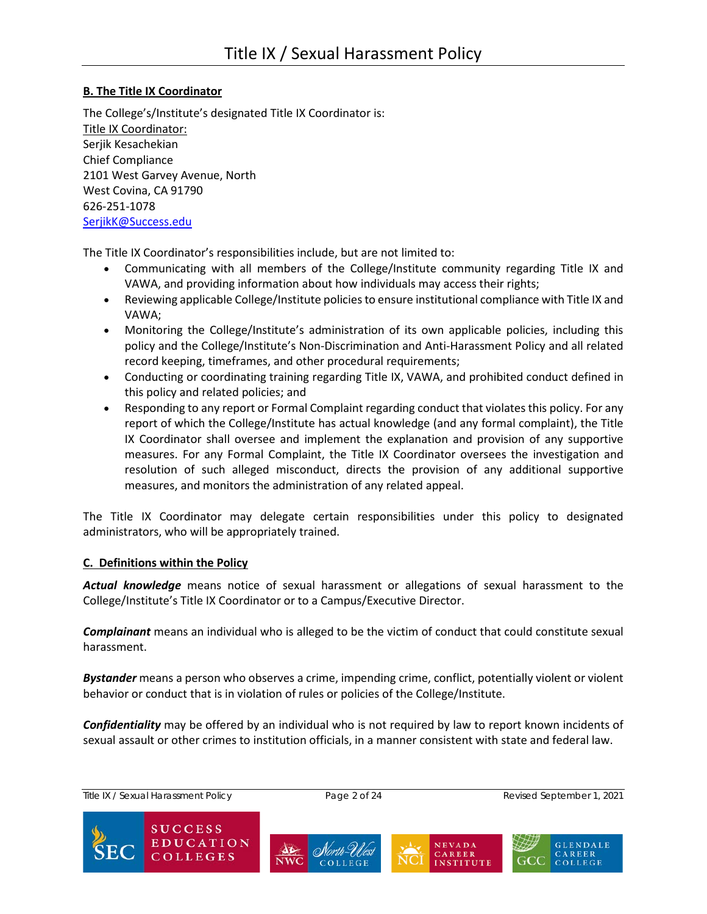## **B. The Title IX Coordinator**

The College's/Institute's designated Title IX Coordinator is: Title IX Coordinator: Serjik Kesachekian Chief Compliance 2101 West Garvey Avenue, North West Covina, CA 91790 626-251-1078 [SerjikK@Success.edu](mailto:SerjikK@Success.edu)

The Title IX Coordinator's responsibilities include, but are not limited to:

- Communicating with all members of the College/Institute community regarding Title IX and VAWA, and providing information about how individuals may access their rights;
- Reviewing applicable College/Institute policies to ensure institutional compliance with Title IX and VAWA;
- Monitoring the College/Institute's administration of its own applicable policies, including this policy and the College/Institute's Non-Discrimination and Anti-Harassment Policy and all related record keeping, timeframes, and other procedural requirements;
- Conducting or coordinating training regarding Title IX, VAWA, and prohibited conduct defined in this policy and related policies; and
- Responding to any report or Formal Complaint regarding conduct that violates this policy. For any report of which the College/Institute has actual knowledge (and any formal complaint), the Title IX Coordinator shall oversee and implement the explanation and provision of any supportive measures. For any Formal Complaint, the Title IX Coordinator oversees the investigation and resolution of such alleged misconduct, directs the provision of any additional supportive measures, and monitors the administration of any related appeal.

The Title IX Coordinator may delegate certain responsibilities under this policy to designated administrators, who will be appropriately trained.

#### **C. Definitions within the Policy**

*Actual knowledge* means notice of sexual harassment or allegations of sexual harassment to the College/Institute's Title IX Coordinator or to a Campus/Executive Director.

*Complainant* means an individual who is alleged to be the victim of conduct that could constitute sexual harassment.

*Bystander* means a person who observes a crime, impending crime, conflict, potentially violent or violent behavior or conduct that is in violation of rules or policies of the College/Institute.

*Confidentiality* may be offered by an individual who is not required by law to report known incidents of sexual assault or other crimes to institution officials, in a manner consistent with state and federal law.

Title IX / Sexual Harassment Policy **Page 2 of 24** Revised September 1, 2021

 $GCC$ 

**GLENDALE** 





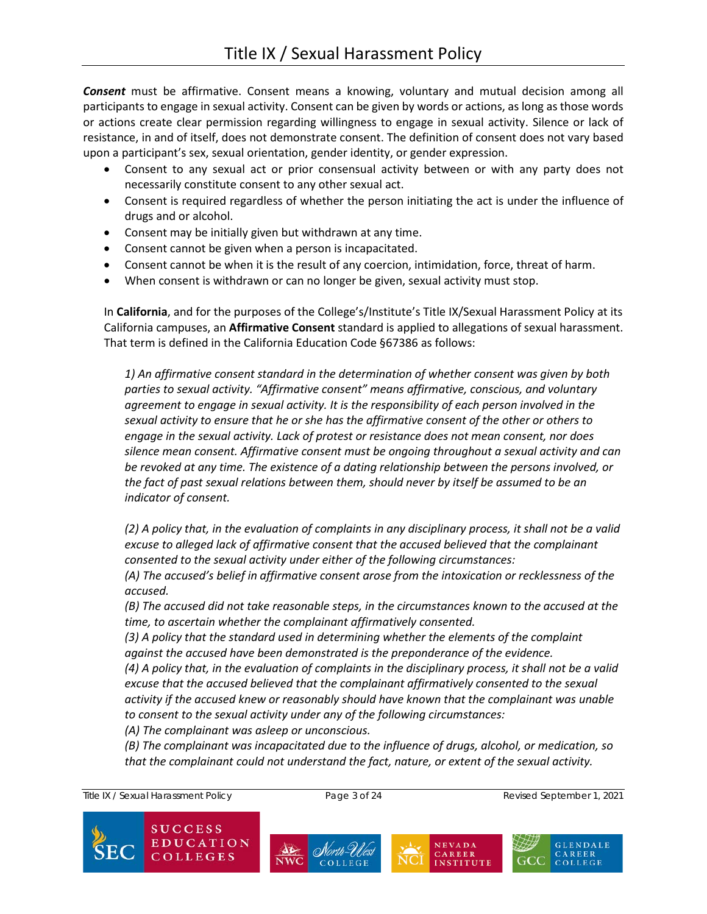*Consent* must be affirmative. Consent means a knowing, voluntary and mutual decision among all participants to engage in sexual activity. Consent can be given by words or actions, as long as those words or actions create clear permission regarding willingness to engage in sexual activity. Silence or lack of resistance, in and of itself, does not demonstrate consent. The definition of consent does not vary based upon a participant's sex, sexual orientation, gender identity, or gender expression.

- Consent to any sexual act or prior consensual activity between or with any party does not necessarily constitute consent to any other sexual act.
- Consent is required regardless of whether the person initiating the act is under the influence of drugs and or alcohol.
- Consent may be initially given but withdrawn at any time.
- Consent cannot be given when a person is incapacitated.
- Consent cannot be when it is the result of any coercion, intimidation, force, threat of harm.
- When consent is withdrawn or can no longer be given, sexual activity must stop.

In **California**, and for the purposes of the College's/Institute's Title IX/Sexual Harassment Policy at its California campuses, an **Affirmative Consent** standard is applied to allegations of sexual harassment. That term is defined in the California Education Code §67386 as follows:

*1) An affirmative consent standard in the determination of whether consent was given by both parties to sexual activity. "Affirmative consent" means affirmative, conscious, and voluntary agreement to engage in sexual activity. It is the responsibility of each person involved in the sexual activity to ensure that he or she has the affirmative consent of the other or others to engage in the sexual activity. Lack of protest or resistance does not mean consent, nor does silence mean consent. Affirmative consent must be ongoing throughout a sexual activity and can be revoked at any time. The existence of a dating relationship between the persons involved, or the fact of past sexual relations between them, should never by itself be assumed to be an indicator of consent.*

*(2) A policy that, in the evaluation of complaints in any disciplinary process, it shall not be a valid excuse to alleged lack of affirmative consent that the accused believed that the complainant consented to the sexual activity under either of the following circumstances:*

*(A) The accused's belief in affirmative consent arose from the intoxication or recklessness of the accused.*

*(B) The accused did not take reasonable steps, in the circumstances known to the accused at the time, to ascertain whether the complainant affirmatively consented.*

*(3) A policy that the standard used in determining whether the elements of the complaint against the accused have been demonstrated is the preponderance of the evidence.*

*(4) A policy that, in the evaluation of complaints in the disciplinary process, it shall not be a valid excuse that the accused believed that the complainant affirmatively consented to the sexual activity if the accused knew or reasonably should have known that the complainant was unable to consent to the sexual activity under any of the following circumstances:*

*(A) The complainant was asleep or unconscious.*

 $\overline{\phantom{a}}$ 

*(B) The complainant was incapacitated due to the influence of drugs, alcohol, or medication, so that the complainant could not understand the fact, nature, or extent of the sexual activity.*

Title IX / Sexual Harassment Policy **Page 3 of 24** Revised September 1, 2021

 $GCC$ 

**GLENDALE** 





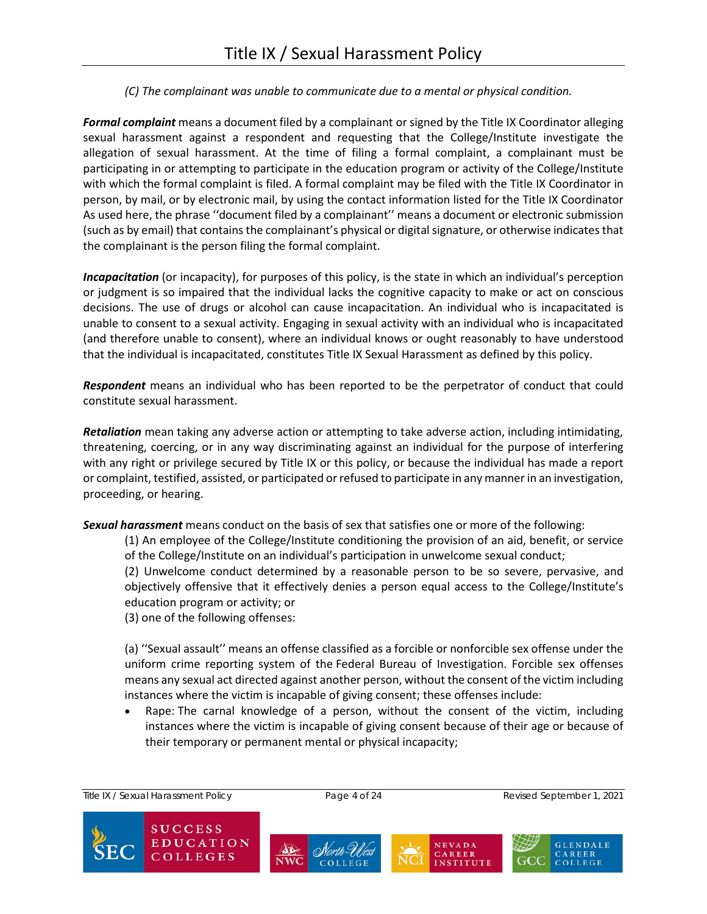## *(C) The complainant was unable to communicate due to a mental or physical condition.*

*Formal complaint* means a document filed by a complainant or signed by the Title IX Coordinator alleging sexual harassment against a respondent and requesting that the College/Institute investigate the allegation of sexual harassment. At the time of filing a formal complaint, a complainant must be participating in or attempting to participate in the education program or activity of the College/Institute with which the formal complaint is filed. A formal complaint may be filed with the Title IX Coordinator in person, by mail, or by electronic mail, by using the contact information listed for the Title IX Coordinator As used here, the phrase ''document filed by a complainant'' means a document or electronic submission (such as by email) that contains the complainant's physical or digitalsignature, or otherwise indicates that the complainant is the person filing the formal complaint.

*Incapacitation* (or incapacity), for purposes of this policy, is the state in which an individual's perception or judgment is so impaired that the individual lacks the cognitive capacity to make or act on conscious decisions. The use of drugs or alcohol can cause incapacitation. An individual who is incapacitated is unable to consent to a sexual activity. Engaging in sexual activity with an individual who is incapacitated (and therefore unable to consent), where an individual knows or ought reasonably to have understood that the individual is incapacitated, constitutes Title IX Sexual Harassment as defined by this policy.

*Respondent* means an individual who has been reported to be the perpetrator of conduct that could constitute sexual harassment.

*Retaliation* mean taking any adverse action or attempting to take adverse action, including intimidating, threatening, coercing, or in any way discriminating against an individual for the purpose of interfering with any right or privilege secured by Title IX or this policy, or because the individual has made a report or complaint, testified, assisted, or participated or refused to participate in any manner in an investigation, proceeding, or hearing.

*Sexual harassment* means conduct on the basis of sex that satisfies one or more of the following:

(1) An employee of the College/Institute conditioning the provision of an aid, benefit, or service of the College/Institute on an individual's participation in unwelcome sexual conduct;

(2) Unwelcome conduct determined by a reasonable person to be so severe, pervasive, and objectively offensive that it effectively denies a person equal access to the College/Institute's education program or activity; or

(3) one of the following offenses:

(a) ''Sexual assault'' means an offense classified as a forcible or nonforcible sex offense under the uniform crime reporting system of the Federal Bureau of Investigation. Forcible sex offenses means any sexual act directed against another person, without the consent of the victim including instances where the victim is incapable of giving consent; these offenses include:

• Rape: The carnal knowledge of a person, without the consent of the victim, including instances where the victim is incapable of giving consent because of their age or because of their temporary or permanent mental or physical incapacity;

Title IX / Sexual Harassment Policy **Page 4 of 24** Revised September 1, 2021

GCC





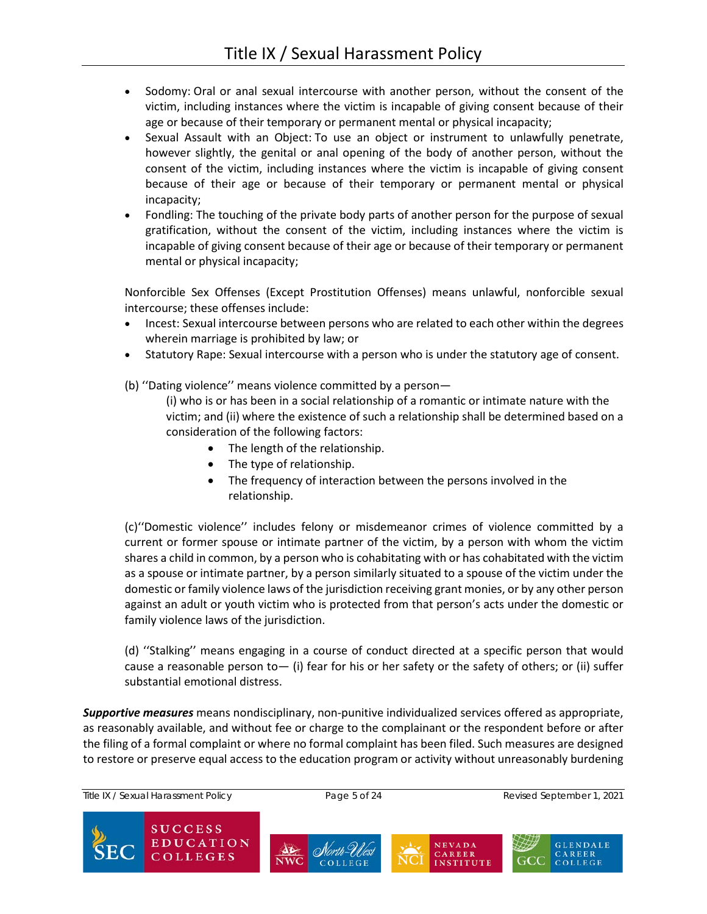- Sodomy: Oral or anal sexual intercourse with another person, without the consent of the victim, including instances where the victim is incapable of giving consent because of their age or because of their temporary or permanent mental or physical incapacity;
- Sexual Assault with an Object: To use an object or instrument to unlawfully penetrate, however slightly, the genital or anal opening of the body of another person, without the consent of the victim, including instances where the victim is incapable of giving consent because of their age or because of their temporary or permanent mental or physical incapacity;
- Fondling: The touching of the private body parts of another person for the purpose of sexual gratification, without the consent of the victim, including instances where the victim is incapable of giving consent because of their age or because of their temporary or permanent mental or physical incapacity;

Nonforcible Sex Offenses (Except Prostitution Offenses) means unlawful, nonforcible sexual intercourse; these offenses include:

- Incest: Sexual intercourse between persons who are related to each other within the degrees wherein marriage is prohibited by law; or
- Statutory Rape: Sexual intercourse with a person who is under the statutory age of consent.

(b) ''Dating violence'' means violence committed by a person—

(i) who is or has been in a social relationship of a romantic or intimate nature with the victim; and (ii) where the existence of such a relationship shall be determined based on a consideration of the following factors:

- The length of the relationship.
- The type of relationship.
- The frequency of interaction between the persons involved in the relationship.

(c)''Domestic violence'' includes felony or misdemeanor crimes of violence committed by a current or former spouse or intimate partner of the victim, by a person with whom the victim shares a child in common, by a person who is cohabitating with or has cohabitated with the victim as a spouse or intimate partner, by a person similarly situated to a spouse of the victim under the domestic or family violence laws of the jurisdiction receiving grant monies, or by any other person against an adult or youth victim who is protected from that person's acts under the domestic or family violence laws of the jurisdiction.

(d) ''Stalking'' means engaging in a course of conduct directed at a specific person that would cause a reasonable person to— (i) fear for his or her safety or the safety of others; or (ii) suffer substantial emotional distress.

*Supportive measures* means nondisciplinary, non-punitive individualized services offered as appropriate, as reasonably available, and without fee or charge to the complainant or the respondent before or after the filing of a formal complaint or where no formal complaint has been filed. Such measures are designed to restore or preserve equal access to the education program or activity without unreasonably burdening

Title IX / Sexual Harassment Policy **Page 5 of 24** Revised September 1, 2021



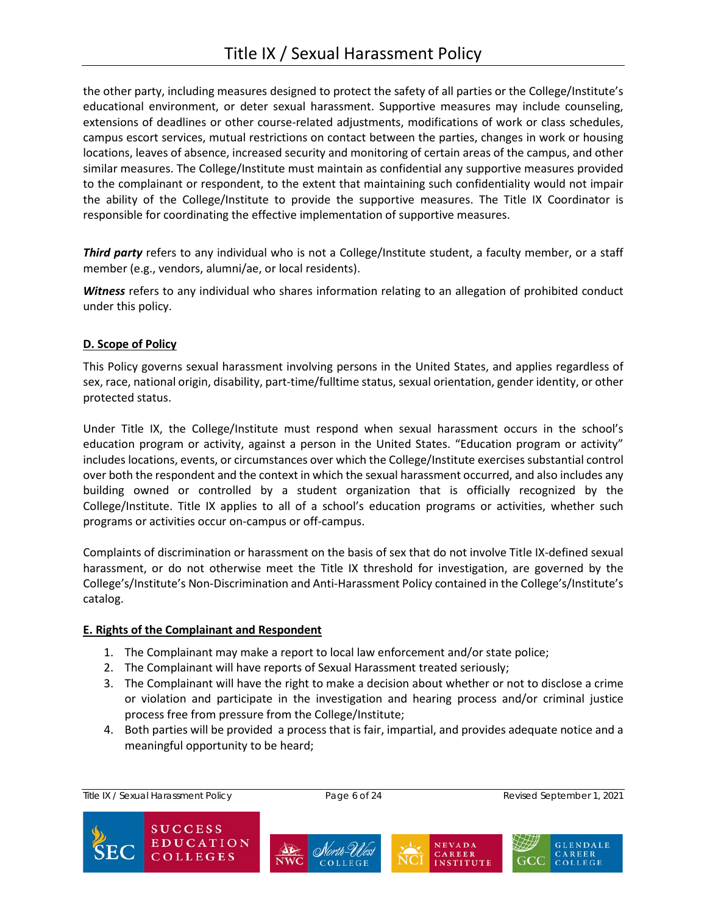the other party, including measures designed to protect the safety of all parties or the College/Institute's educational environment, or deter sexual harassment. Supportive measures may include counseling, extensions of deadlines or other course-related adjustments, modifications of work or class schedules, campus escort services, mutual restrictions on contact between the parties, changes in work or housing locations, leaves of absence, increased security and monitoring of certain areas of the campus, and other similar measures. The College/Institute must maintain as confidential any supportive measures provided to the complainant or respondent, to the extent that maintaining such confidentiality would not impair the ability of the College/Institute to provide the supportive measures. The Title IX Coordinator is responsible for coordinating the effective implementation of supportive measures.

*Third party* refers to any individual who is not a College/Institute student, a faculty member, or a staff member (e.g., vendors, alumni/ae, or local residents).

*Witness* refers to any individual who shares information relating to an allegation of prohibited conduct under this policy.

## **D. Scope of Policy**

This Policy governs sexual harassment involving persons in the United States, and applies regardless of sex, race, national origin, disability, part-time/fulltime status, sexual orientation, gender identity, or other protected status.

Under Title IX, the College/Institute must respond when sexual harassment occurs in the school's education program or activity, against a person in the United States. "Education program or activity" includes locations, events, or circumstances over which the College/Institute exercises substantial control over both the respondent and the context in which the sexual harassment occurred, and also includes any building owned or controlled by a student organization that is officially recognized by the College/Institute. Title IX applies to all of a school's education programs or activities, whether such programs or activities occur on-campus or off-campus.

Complaints of discrimination or harassment on the basis of sex that do not involve Title IX-defined sexual harassment, or do not otherwise meet the Title IX threshold for investigation, are governed by the College's/Institute's Non-Discrimination and Anti-Harassment Policy contained in the College's/Institute's catalog.

## **E. Rights of the Complainant and Respondent**

- 1. The Complainant may make a report to local law enforcement and/or state police;
- 2. The Complainant will have reports of Sexual Harassment treated seriously;
- 3. The Complainant will have the right to make a decision about whether or not to disclose a crime or violation and participate in the investigation and hearing process and/or criminal justice process free from pressure from the College/Institute;
- 4. Both parties will be provided a process that is fair, impartial, and provides adequate notice and a meaningful opportunity to be heard;

Title IX / Sexual Harassment Policy **Page 6 of 24** Revised September 1, 2021

**GCC** 



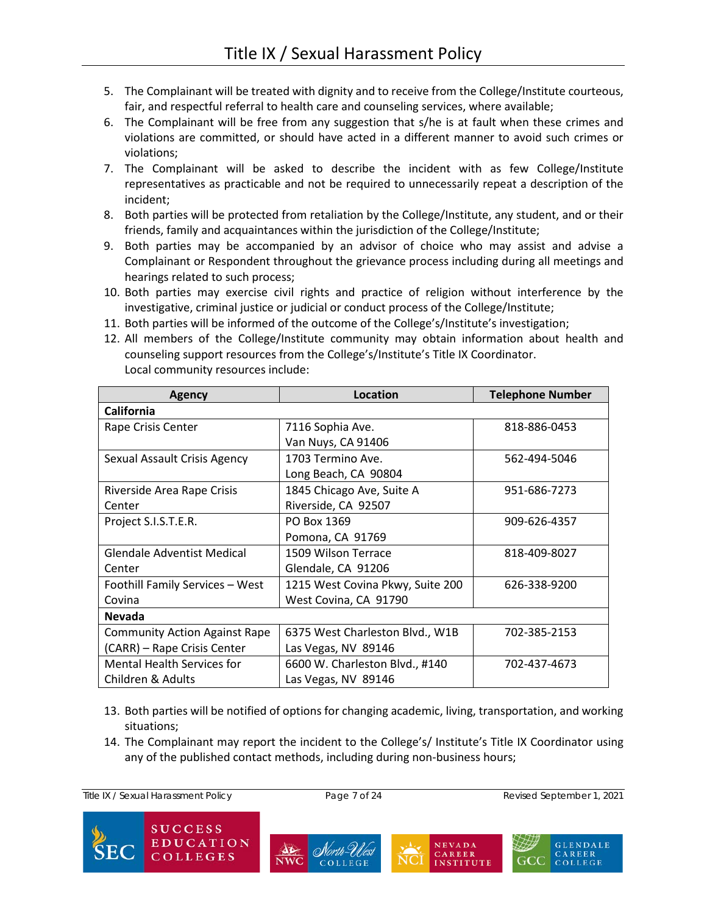- 5. The Complainant will be treated with dignity and to receive from the College/Institute courteous, fair, and respectful referral to health care and counseling services, where available;
- 6. The Complainant will be free from any suggestion that s/he is at fault when these crimes and violations are committed, or should have acted in a different manner to avoid such crimes or violations;
- 7. The Complainant will be asked to describe the incident with as few College/Institute representatives as practicable and not be required to unnecessarily repeat a description of the incident;
- 8. Both parties will be protected from retaliation by the College/Institute, any student, and or their friends, family and acquaintances within the jurisdiction of the College/Institute;
- 9. Both parties may be accompanied by an advisor of choice who may assist and advise a Complainant or Respondent throughout the grievance process including during all meetings and hearings related to such process;
- 10. Both parties may exercise civil rights and practice of religion without interference by the investigative, criminal justice or judicial or conduct process of the College/Institute;
- 11. Both parties will be informed of the outcome of the College's/Institute's investigation;
- 12. All members of the College/Institute community may obtain information about health and counseling support resources from the College's/Institute's Title IX Coordinator. Local community resources include:

| Agency                               | Location                         | <b>Telephone Number</b> |  |
|--------------------------------------|----------------------------------|-------------------------|--|
| California                           |                                  |                         |  |
| Rape Crisis Center                   | 7116 Sophia Ave.                 | 818-886-0453            |  |
|                                      | Van Nuys, CA 91406               |                         |  |
| Sexual Assault Crisis Agency         | 1703 Termino Ave.                | 562-494-5046            |  |
|                                      | Long Beach, CA 90804             |                         |  |
| Riverside Area Rape Crisis           | 1845 Chicago Ave, Suite A        | 951-686-7273            |  |
| Center                               | Riverside, CA 92507              |                         |  |
| Project S.I.S.T.E.R.                 | PO Box 1369                      | 909-626-4357            |  |
|                                      | Pomona, CA 91769                 |                         |  |
| Glendale Adventist Medical           | 1509 Wilson Terrace              | 818-409-8027            |  |
| Center                               | Glendale, CA 91206               |                         |  |
| Foothill Family Services - West      | 1215 West Covina Pkwy, Suite 200 | 626-338-9200            |  |
| Covina                               | West Covina, CA 91790            |                         |  |
| <b>Nevada</b>                        |                                  |                         |  |
| <b>Community Action Against Rape</b> | 6375 West Charleston Blvd., W1B  | 702-385-2153            |  |
| (CARR) - Rape Crisis Center          | Las Vegas, NV 89146              |                         |  |
| <b>Mental Health Services for</b>    | 6600 W. Charleston Blvd., #140   | 702-437-4673            |  |
| Children & Adults                    | Las Vegas, NV 89146              |                         |  |

- 13. Both parties will be notified of options for changing academic, living, transportation, and working situations;
- 14. The Complainant may report the incident to the College's/ Institute's Title IX Coordinator using any of the published contact methods, including during non-business hours;

Title IX / Sexual Harassment Policy **Page 7 of 24** Revised September 1, 2021







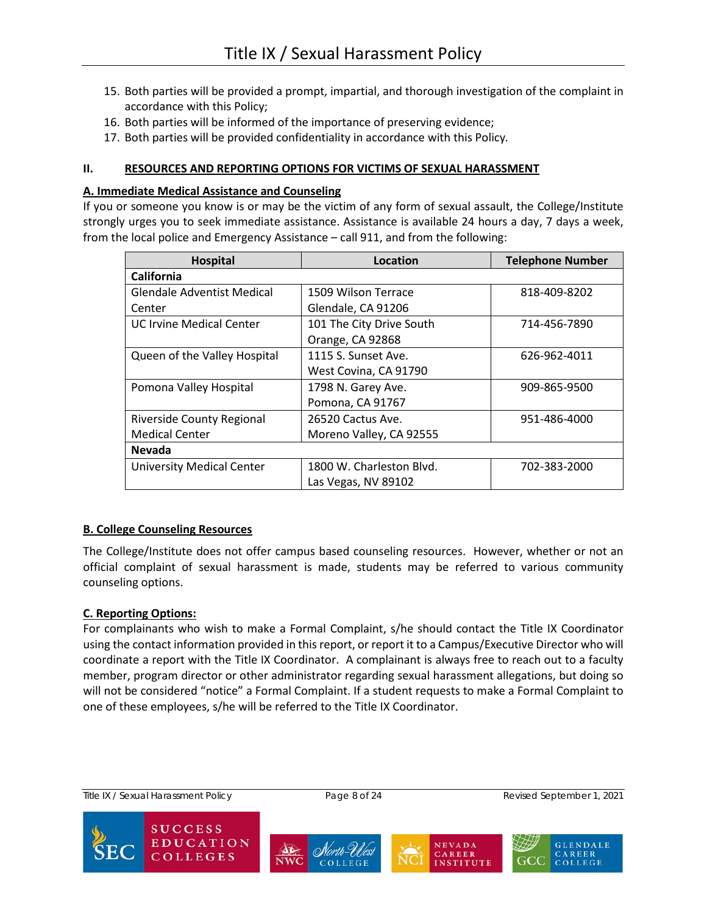- 15. Both parties will be provided a prompt, impartial, and thorough investigation of the complaint in accordance with this Policy;
- 16. Both parties will be informed of the importance of preserving evidence;
- 17. Both parties will be provided confidentiality in accordance with this Policy*.*

### **II. RESOURCES AND REPORTING OPTIONS FOR VICTIMS OF SEXUAL HARASSMENT**

#### **A. Immediate Medical Assistance and Counseling**

If you or someone you know is or may be the victim of any form of sexual assault, the College/Institute strongly urges you to seek immediate assistance. Assistance is available 24 hours a day, 7 days a week, from the local police and Emergency Assistance – call 911, and from the following:

| <b>Hospital</b>                   | Location                 | <b>Telephone Number</b> |
|-----------------------------------|--------------------------|-------------------------|
| <b>California</b>                 |                          |                         |
| <b>Glendale Adventist Medical</b> | 1509 Wilson Terrace      | 818-409-8202            |
| Center                            | Glendale, CA 91206       |                         |
| <b>UC Irvine Medical Center</b>   | 101 The City Drive South | 714-456-7890            |
|                                   | Orange, CA 92868         |                         |
| Queen of the Valley Hospital      | 1115 S. Sunset Ave.      | 626-962-4011            |
|                                   | West Covina, CA 91790    |                         |
| Pomona Valley Hospital            | 1798 N. Garey Ave.       | 909-865-9500            |
|                                   | Pomona, CA 91767         |                         |
| Riverside County Regional         | 26520 Cactus Ave.        | 951-486-4000            |
| <b>Medical Center</b>             | Moreno Valley, CA 92555  |                         |
| <b>Nevada</b>                     |                          |                         |
| <b>University Medical Center</b>  | 1800 W. Charleston Blvd. | 702-383-2000            |
|                                   | Las Vegas, NV 89102      |                         |

#### **B. College Counseling Resources**

The College/Institute does not offer campus based counseling resources. However, whether or not an official complaint of sexual harassment is made, students may be referred to various community counseling options.

#### **C. Reporting Options:**

For complainants who wish to make a Formal Complaint, s/he should contact the Title IX Coordinator using the contact information provided in this report, or report it to a Campus/Executive Director who will coordinate a report with the Title IX Coordinator. A complainant is always free to reach out to a faculty member, program director or other administrator regarding sexual harassment allegations, but doing so will not be considered "notice" a Formal Complaint. If a student requests to make a Formal Complaint to one of these employees, s/he will be referred to the Title IX Coordinator.

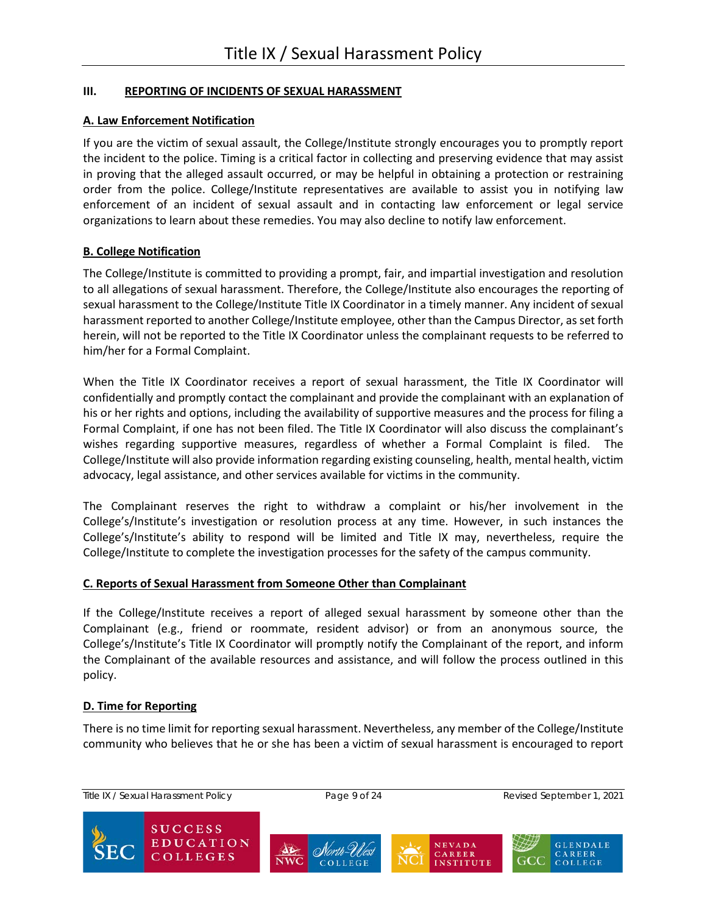## **III. REPORTING OF INCIDENTS OF SEXUAL HARASSMENT**

## **A. Law Enforcement Notification**

If you are the victim of sexual assault, the College/Institute strongly encourages you to promptly report the incident to the police. Timing is a critical factor in collecting and preserving evidence that may assist in proving that the alleged assault occurred, or may be helpful in obtaining a protection or restraining order from the police. College/Institute representatives are available to assist you in notifying law enforcement of an incident of sexual assault and in contacting law enforcement or legal service organizations to learn about these remedies. You may also decline to notify law enforcement.

## **B. College Notification**

The College/Institute is committed to providing a prompt, fair, and impartial investigation and resolution to all allegations of sexual harassment. Therefore, the College/Institute also encourages the reporting of sexual harassment to the College/Institute Title IX Coordinator in a timely manner. Any incident of sexual harassment reported to another College/Institute employee, other than the Campus Director, as set forth herein, will not be reported to the Title IX Coordinator unless the complainant requests to be referred to him/her for a Formal Complaint.

When the Title IX Coordinator receives a report of sexual harassment, the Title IX Coordinator will confidentially and promptly contact the complainant and provide the complainant with an explanation of his or her rights and options, including the availability of supportive measures and the process for filing a Formal Complaint, if one has not been filed. The Title IX Coordinator will also discuss the complainant's wishes regarding supportive measures, regardless of whether a Formal Complaint is filed. The College/Institute will also provide information regarding existing counseling, health, mental health, victim advocacy, legal assistance, and other services available for victims in the community.

The Complainant reserves the right to withdraw a complaint or his/her involvement in the College's/Institute's investigation or resolution process at any time. However, in such instances the College's/Institute's ability to respond will be limited and Title IX may, nevertheless, require the College/Institute to complete the investigation processes for the safety of the campus community.

#### **C. Reports of Sexual Harassment from Someone Other than Complainant**

If the College/Institute receives a report of alleged sexual harassment by someone other than the Complainant (e.g., friend or roommate, resident advisor) or from an anonymous source, the College's/Institute's Title IX Coordinator will promptly notify the Complainant of the report, and inform the Complainant of the available resources and assistance, and will follow the process outlined in this policy.

#### **D. Time for Reporting**

There is no time limit for reporting sexual harassment. Nevertheless, any member of the College/Institute community who believes that he or she has been a victim of sexual harassment is encouraged to report

Title IX / Sexual Harassment Policy **Page 9 of 24** Revised September 1, 2021





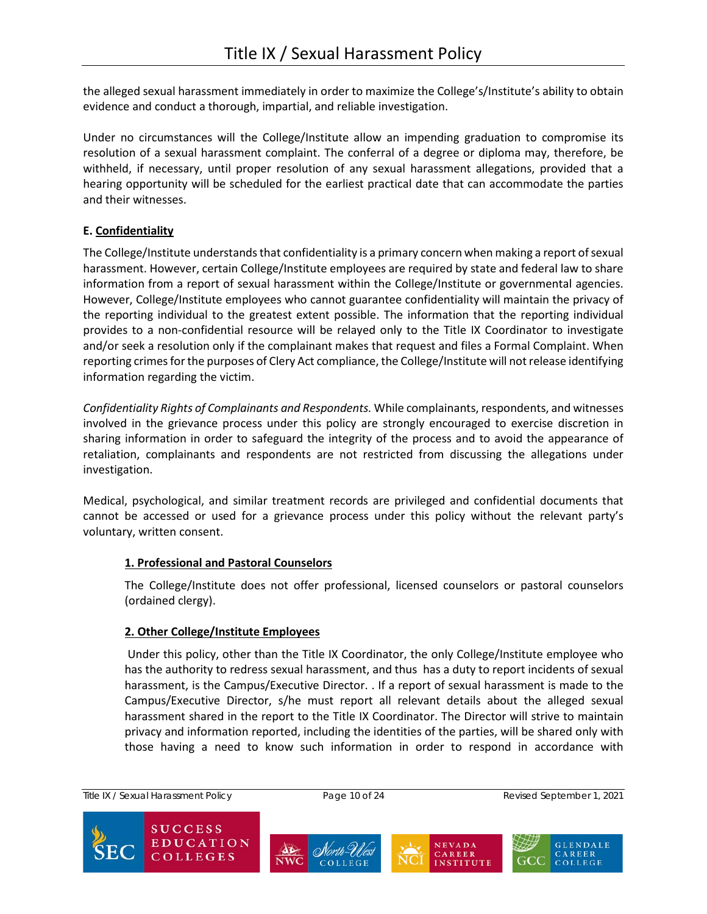the alleged sexual harassment immediately in order to maximize the College's/Institute's ability to obtain evidence and conduct a thorough, impartial, and reliable investigation.

Under no circumstances will the College/Institute allow an impending graduation to compromise its resolution of a sexual harassment complaint. The conferral of a degree or diploma may, therefore, be withheld, if necessary, until proper resolution of any sexual harassment allegations, provided that a hearing opportunity will be scheduled for the earliest practical date that can accommodate the parties and their witnesses.

## **E. Confidentiality**

The College/Institute understands that confidentiality is a primary concern when making a report of sexual harassment. However, certain College/Institute employees are required by state and federal law to share information from a report of sexual harassment within the College/Institute or governmental agencies. However, College/Institute employees who cannot guarantee confidentiality will maintain the privacy of the reporting individual to the greatest extent possible. The information that the reporting individual provides to a non-confidential resource will be relayed only to the Title IX Coordinator to investigate and/or seek a resolution only if the complainant makes that request and files a Formal Complaint. When reporting crimes for the purposes of Clery Act compliance, the College/Institute will not release identifying information regarding the victim.

*Confidentiality Rights of Complainants and Respondents.* While complainants, respondents, and witnesses involved in the grievance process under this policy are strongly encouraged to exercise discretion in sharing information in order to safeguard the integrity of the process and to avoid the appearance of retaliation, complainants and respondents are not restricted from discussing the allegations under investigation.

Medical, psychological, and similar treatment records are privileged and confidential documents that cannot be accessed or used for a grievance process under this policy without the relevant party's voluntary, written consent.

## **1. Professional and Pastoral Counselors**

The College/Institute does not offer professional, licensed counselors or pastoral counselors (ordained clergy).

## **2. Other College/Institute Employees**

Under this policy, other than the Title IX Coordinator, the only College/Institute employee who has the authority to redress sexual harassment, and thus has a duty to report incidents of sexual harassment, is the Campus/Executive Director. . If a report of sexual harassment is made to the Campus/Executive Director, s/he must report all relevant details about the alleged sexual harassment shared in the report to the Title IX Coordinator. The Director will strive to maintain privacy and information reported, including the identities of the parties, will be shared only with those having a need to know such information in order to respond in accordance with

Title IX / Sexual Harassment Policy **Page 10 of 24** Revised September 1, 2021







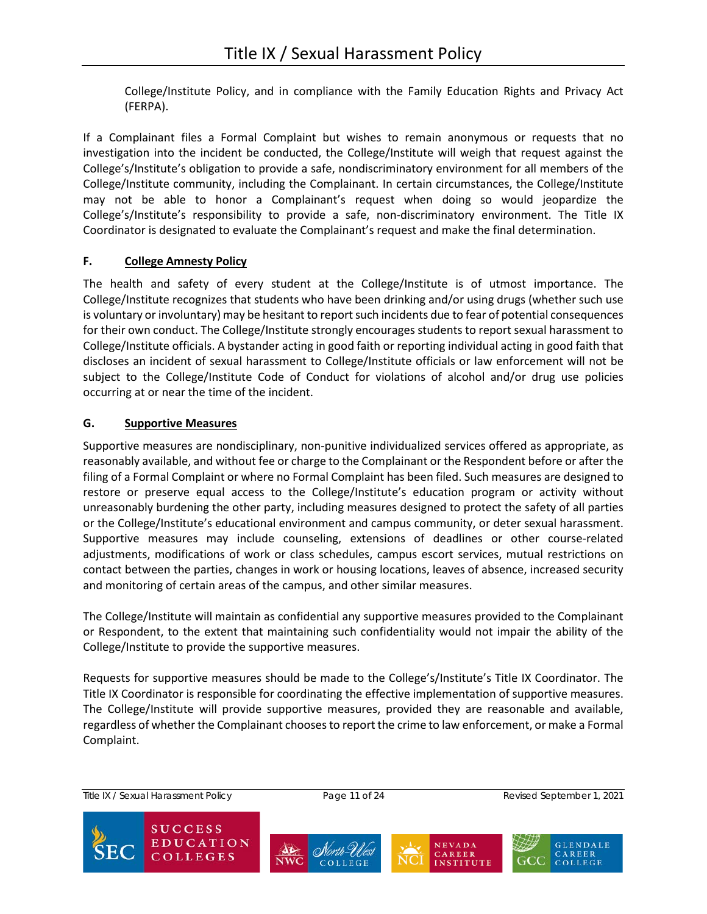College/Institute Policy, and in compliance with the Family Education Rights and Privacy Act (FERPA).

If a Complainant files a Formal Complaint but wishes to remain anonymous or requests that no investigation into the incident be conducted, the College/Institute will weigh that request against the College's/Institute's obligation to provide a safe, nondiscriminatory environment for all members of the College/Institute community, including the Complainant. In certain circumstances, the College/Institute may not be able to honor a Complainant's request when doing so would jeopardize the College's/Institute's responsibility to provide a safe, non-discriminatory environment. The Title IX Coordinator is designated to evaluate the Complainant's request and make the final determination.

## **F. College Amnesty Policy**

The health and safety of every student at the College/Institute is of utmost importance. The College/Institute recognizes that students who have been drinking and/or using drugs (whether such use is voluntary or involuntary) may be hesitant to report such incidents due to fear of potential consequences for their own conduct. The College/Institute strongly encourages students to report sexual harassment to College/Institute officials. A bystander acting in good faith or reporting individual acting in good faith that discloses an incident of sexual harassment to College/Institute officials or law enforcement will not be subject to the College/Institute Code of Conduct for violations of alcohol and/or drug use policies occurring at or near the time of the incident.

## **G. Supportive Measures**

Supportive measures are nondisciplinary, non-punitive individualized services offered as appropriate, as reasonably available, and without fee or charge to the Complainant or the Respondent before or after the filing of a Formal Complaint or where no Formal Complaint has been filed. Such measures are designed to restore or preserve equal access to the College/Institute's education program or activity without unreasonably burdening the other party, including measures designed to protect the safety of all parties or the College/Institute's educational environment and campus community, or deter sexual harassment. Supportive measures may include counseling, extensions of deadlines or other course-related adjustments, modifications of work or class schedules, campus escort services, mutual restrictions on contact between the parties, changes in work or housing locations, leaves of absence, increased security and monitoring of certain areas of the campus, and other similar measures.

The College/Institute will maintain as confidential any supportive measures provided to the Complainant or Respondent, to the extent that maintaining such confidentiality would not impair the ability of the College/Institute to provide the supportive measures.

Requests for supportive measures should be made to the College's/Institute's Title IX Coordinator. The Title IX Coordinator is responsible for coordinating the effective implementation of supportive measures. The College/Institute will provide supportive measures, provided they are reasonable and available, regardless of whether the Complainant chooses to report the crime to law enforcement, or make a Formal Complaint.

Title IX / Sexual Harassment Policy **Page 11 of 24** Revised September 1, 2021









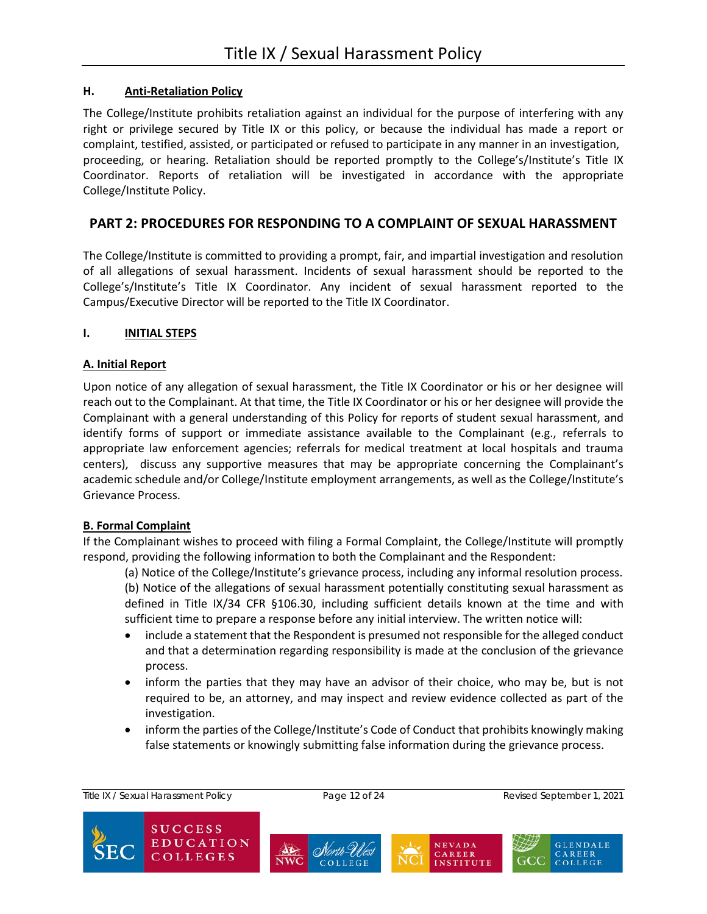## **H. Anti-Retaliation Policy**

The College/Institute prohibits retaliation against an individual for the purpose of interfering with any right or privilege secured by Title IX or this policy, or because the individual has made a report or complaint, testified, assisted, or participated or refused to participate in any manner in an investigation, proceeding, or hearing. Retaliation should be reported promptly to the College's/Institute's Title IX Coordinator. Reports of retaliation will be investigated in accordance with the appropriate College/Institute Policy.

## **PART 2: PROCEDURES FOR RESPONDING TO A COMPLAINT OF SEXUAL HARASSMENT**

The College/Institute is committed to providing a prompt, fair, and impartial investigation and resolution of all allegations of sexual harassment. Incidents of sexual harassment should be reported to the College's/Institute's Title IX Coordinator. Any incident of sexual harassment reported to the Campus/Executive Director will be reported to the Title IX Coordinator.

## **I. INITIAL STEPS**

## **A. Initial Report**

Upon notice of any allegation of sexual harassment, the Title IX Coordinator or his or her designee will reach out to the Complainant. At that time, the Title IX Coordinator or his or her designee will provide the Complainant with a general understanding of this Policy for reports of student sexual harassment, and identify forms of support or immediate assistance available to the Complainant (e.g., referrals to appropriate law enforcement agencies; referrals for medical treatment at local hospitals and trauma centers), discuss any supportive measures that may be appropriate concerning the Complainant's academic schedule and/or College/Institute employment arrangements, as well as the College/Institute's Grievance Process.

#### **B. Formal Complaint**

If the Complainant wishes to proceed with filing a Formal Complaint, the College/Institute will promptly respond, providing the following information to both the Complainant and the Respondent:

(a) Notice of the College/Institute's grievance process, including any informal resolution process. (b) Notice of the allegations of sexual harassment potentially constituting sexual harassment as defined in Title IX/34 CFR §106.30, including sufficient details known at the time and with sufficient time to prepare a response before any initial interview. The written notice will:

- include a statement that the Respondent is presumed not responsible for the alleged conduct and that a determination regarding responsibility is made at the conclusion of the grievance process.
- inform the parties that they may have an advisor of their choice, who may be, but is not required to be, an attorney, and may inspect and review evidence collected as part of the investigation.
- inform the parties of the College/Institute's Code of Conduct that prohibits knowingly making false statements or knowingly submitting false information during the grievance process.

Title IX / Sexual Harassment Policy **Page 12 of 24** Revised September 1, 2021







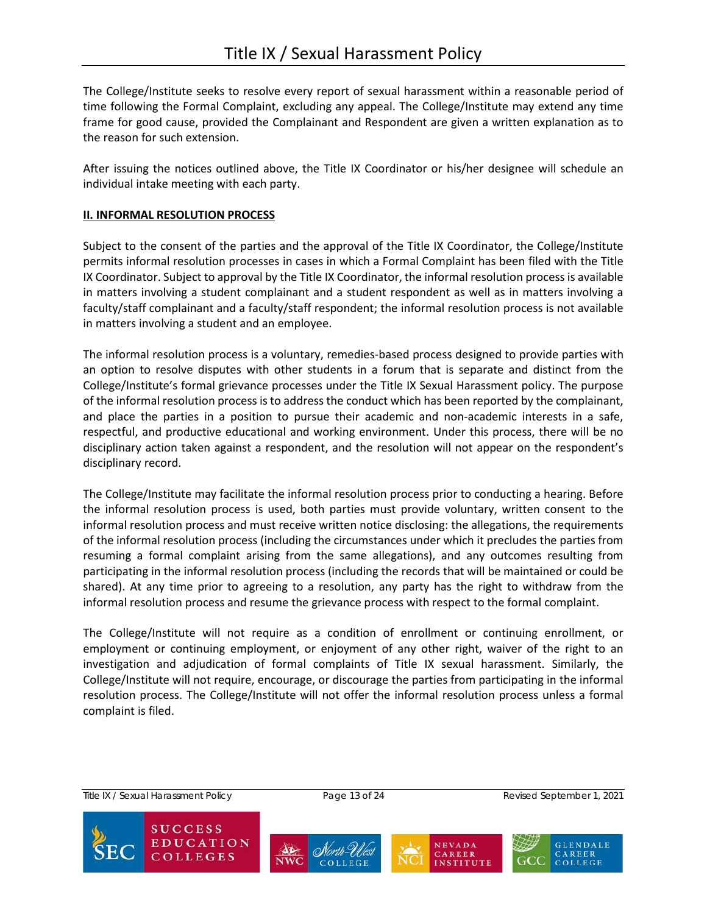The College/Institute seeks to resolve every report of sexual harassment within a reasonable period of time following the Formal Complaint, excluding any appeal. The College/Institute may extend any time frame for good cause, provided the Complainant and Respondent are given a written explanation as to the reason for such extension.

After issuing the notices outlined above, the Title IX Coordinator or his/her designee will schedule an individual intake meeting with each party.

## **II. INFORMAL RESOLUTION PROCESS**

Subject to the consent of the parties and the approval of the Title IX Coordinator, the College/Institute permits informal resolution processes in cases in which a Formal Complaint has been filed with the Title IX Coordinator. Subject to approval by the Title IX Coordinator, the informal resolution process is available in matters involving a student complainant and a student respondent as well as in matters involving a faculty/staff complainant and a faculty/staff respondent; the informal resolution process is not available in matters involving a student and an employee.

The informal resolution process is a voluntary, remedies-based process designed to provide parties with an option to resolve disputes with other students in a forum that is separate and distinct from the College/Institute's formal grievance processes under the Title IX Sexual Harassment policy. The purpose of the informal resolution process is to address the conduct which has been reported by the complainant, and place the parties in a position to pursue their academic and non-academic interests in a safe, respectful, and productive educational and working environment. Under this process, there will be no disciplinary action taken against a respondent, and the resolution will not appear on the respondent's disciplinary record.

The College/Institute may facilitate the informal resolution process prior to conducting a hearing. Before the informal resolution process is used, both parties must provide voluntary, written consent to the informal resolution process and must receive written notice disclosing: the allegations, the requirements of the informal resolution process (including the circumstances under which it precludes the parties from resuming a formal complaint arising from the same allegations), and any outcomes resulting from participating in the informal resolution process (including the records that will be maintained or could be shared). At any time prior to agreeing to a resolution, any party has the right to withdraw from the informal resolution process and resume the grievance process with respect to the formal complaint.

The College/Institute will not require as a condition of enrollment or continuing enrollment, or employment or continuing employment, or enjoyment of any other right, waiver of the right to an investigation and adjudication of formal complaints of Title IX sexual harassment. Similarly, the College/Institute will not require, encourage, or discourage the parties from participating in the informal resolution process. The College/Institute will not offer the informal resolution process unless a formal complaint is filed.

Title IX / Sexual Harassment Policy **Page 13 of 24** Revised September 1, 2021







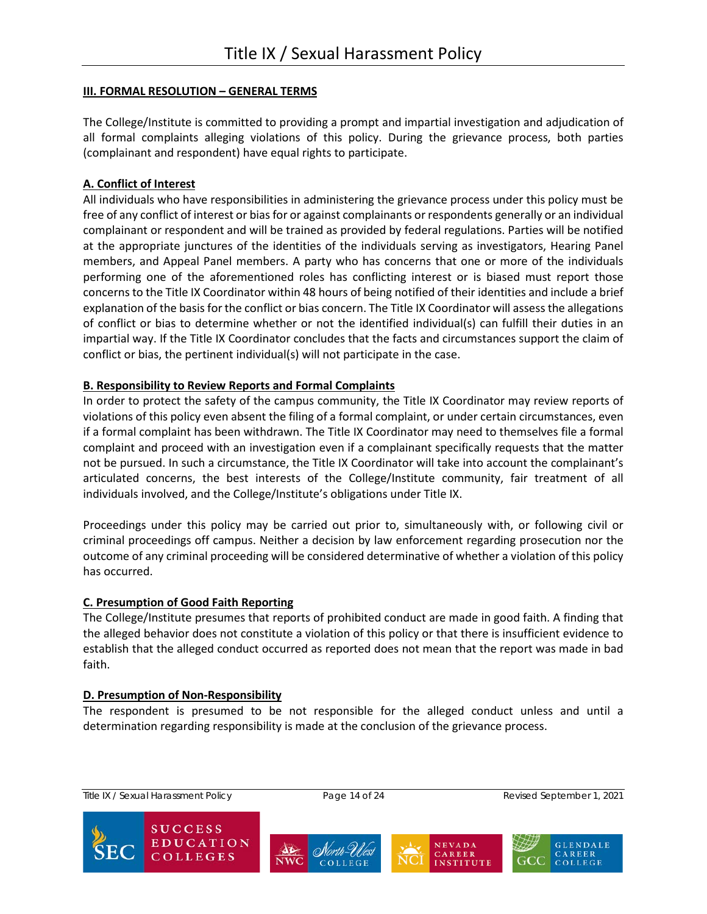### **III. FORMAL RESOLUTION – GENERAL TERMS**

The College/Institute is committed to providing a prompt and impartial investigation and adjudication of all formal complaints alleging violations of this policy. During the grievance process, both parties (complainant and respondent) have equal rights to participate.

## **A. Conflict of Interest**

All individuals who have responsibilities in administering the grievance process under this policy must be free of any conflict of interest or bias for or against complainants or respondents generally or an individual complainant or respondent and will be trained as provided by federal regulations. Parties will be notified at the appropriate junctures of the identities of the individuals serving as investigators, Hearing Panel members, and Appeal Panel members. A party who has concerns that one or more of the individuals performing one of the aforementioned roles has conflicting interest or is biased must report those concerns to the Title IX Coordinator within 48 hours of being notified of their identities and include a brief explanation of the basis for the conflict or bias concern. The Title IX Coordinator will assess the allegations of conflict or bias to determine whether or not the identified individual(s) can fulfill their duties in an impartial way. If the Title IX Coordinator concludes that the facts and circumstances support the claim of conflict or bias, the pertinent individual(s) will not participate in the case.

## **B. Responsibility to Review Reports and Formal Complaints**

In order to protect the safety of the campus community, the Title IX Coordinator may review reports of violations of this policy even absent the filing of a formal complaint, or under certain circumstances, even if a formal complaint has been withdrawn. The Title IX Coordinator may need to themselves file a formal complaint and proceed with an investigation even if a complainant specifically requests that the matter not be pursued. In such a circumstance, the Title IX Coordinator will take into account the complainant's articulated concerns, the best interests of the College/Institute community, fair treatment of all individuals involved, and the College/Institute's obligations under Title IX.

Proceedings under this policy may be carried out prior to, simultaneously with, or following civil or criminal proceedings off campus. Neither a decision by law enforcement regarding prosecution nor the outcome of any criminal proceeding will be considered determinative of whether a violation of this policy has occurred.

#### **C. Presumption of Good Faith Reporting**

The College/Institute presumes that reports of prohibited conduct are made in good faith. A finding that the alleged behavior does not constitute a violation of this policy or that there is insufficient evidence to establish that the alleged conduct occurred as reported does not mean that the report was made in bad faith.

#### **D. Presumption of Non-Responsibility**

The respondent is presumed to be not responsible for the alleged conduct unless and until a determination regarding responsibility is made at the conclusion of the grievance process.

Title IX / Sexual Harassment Policy **Page 14 of 24** Revised September 1, 2021







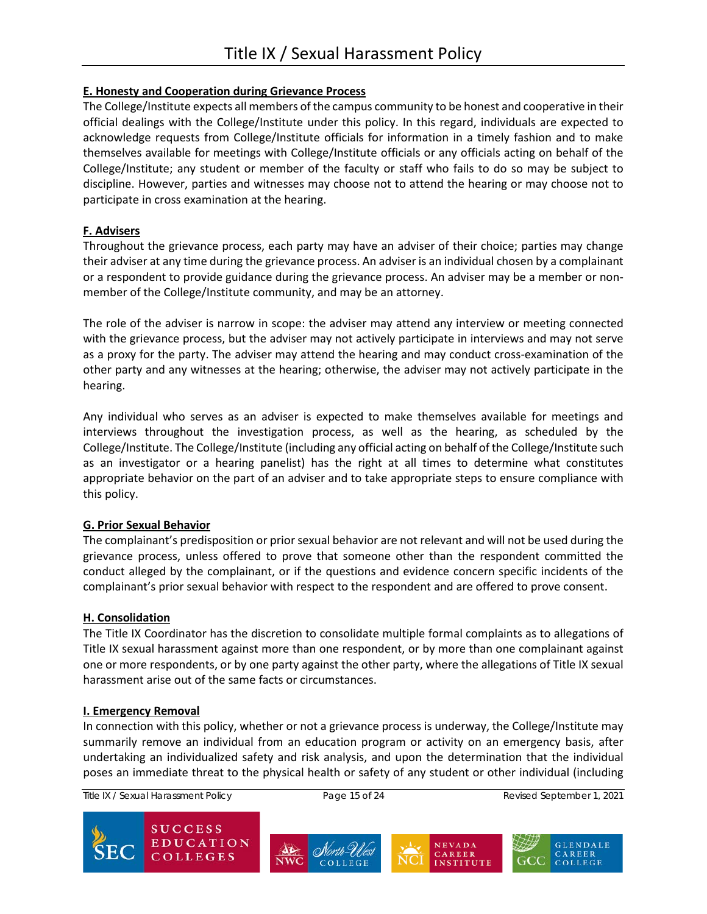## **E. Honesty and Cooperation during Grievance Process**

The College/Institute expects all members of the campus community to be honest and cooperative in their official dealings with the College/Institute under this policy. In this regard, individuals are expected to acknowledge requests from College/Institute officials for information in a timely fashion and to make themselves available for meetings with College/Institute officials or any officials acting on behalf of the College/Institute; any student or member of the faculty or staff who fails to do so may be subject to discipline. However, parties and witnesses may choose not to attend the hearing or may choose not to participate in cross examination at the hearing.

## **F. Advisers**

Throughout the grievance process, each party may have an adviser of their choice; parties may change their adviser at any time during the grievance process. An adviser is an individual chosen by a complainant or a respondent to provide guidance during the grievance process. An adviser may be a member or nonmember of the College/Institute community, and may be an attorney.

The role of the adviser is narrow in scope: the adviser may attend any interview or meeting connected with the grievance process, but the adviser may not actively participate in interviews and may not serve as a proxy for the party. The adviser may attend the hearing and may conduct cross-examination of the other party and any witnesses at the hearing; otherwise, the adviser may not actively participate in the hearing.

Any individual who serves as an adviser is expected to make themselves available for meetings and interviews throughout the investigation process, as well as the hearing, as scheduled by the College/Institute. The College/Institute (including any official acting on behalf of the College/Institute such as an investigator or a hearing panelist) has the right at all times to determine what constitutes appropriate behavior on the part of an adviser and to take appropriate steps to ensure compliance with this policy.

#### **G. Prior Sexual Behavior**

The complainant's predisposition or prior sexual behavior are not relevant and will not be used during the grievance process, unless offered to prove that someone other than the respondent committed the conduct alleged by the complainant, or if the questions and evidence concern specific incidents of the complainant's prior sexual behavior with respect to the respondent and are offered to prove consent.

#### **H. Consolidation**

The Title IX Coordinator has the discretion to consolidate multiple formal complaints as to allegations of Title IX sexual harassment against more than one respondent, or by more than one complainant against one or more respondents, or by one party against the other party, where the allegations of Title IX sexual harassment arise out of the same facts or circumstances.

#### **I. Emergency Removal**

In connection with this policy, whether or not a grievance process is underway, the College/Institute may summarily remove an individual from an education program or activity on an emergency basis, after undertaking an individualized safety and risk analysis, and upon the determination that the individual poses an immediate threat to the physical health or safety of any student or other individual (including

Title IX / Sexual Harassment Policy **Page 15 of 24** Revised September 1, 2021

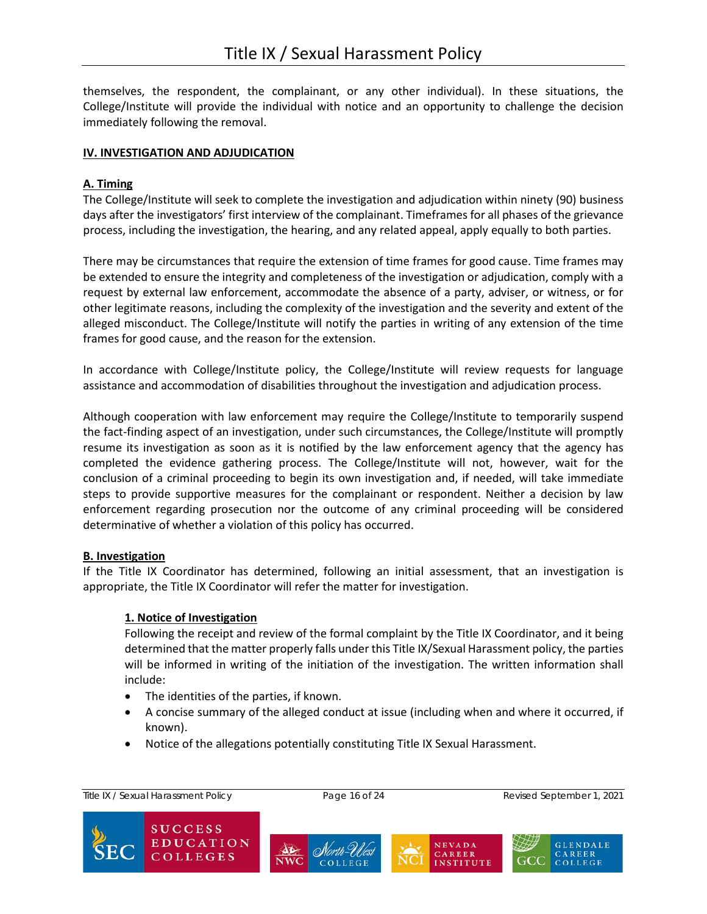themselves, the respondent, the complainant, or any other individual). In these situations, the College/Institute will provide the individual with notice and an opportunity to challenge the decision immediately following the removal.

## **IV. INVESTIGATION AND ADJUDICATION**

## **A. Timing**

The College/Institute will seek to complete the investigation and adjudication within ninety (90) business days after the investigators' first interview of the complainant. Timeframes for all phases of the grievance process, including the investigation, the hearing, and any related appeal, apply equally to both parties.

There may be circumstances that require the extension of time frames for good cause. Time frames may be extended to ensure the integrity and completeness of the investigation or adjudication, comply with a request by external law enforcement, accommodate the absence of a party, adviser, or witness, or for other legitimate reasons, including the complexity of the investigation and the severity and extent of the alleged misconduct. The College/Institute will notify the parties in writing of any extension of the time frames for good cause, and the reason for the extension.

In accordance with College/Institute policy, the College/Institute will review requests for language assistance and accommodation of disabilities throughout the investigation and adjudication process.

Although cooperation with law enforcement may require the College/Institute to temporarily suspend the fact-finding aspect of an investigation, under such circumstances, the College/Institute will promptly resume its investigation as soon as it is notified by the law enforcement agency that the agency has completed the evidence gathering process. The College/Institute will not, however, wait for the conclusion of a criminal proceeding to begin its own investigation and, if needed, will take immediate steps to provide supportive measures for the complainant or respondent. Neither a decision by law enforcement regarding prosecution nor the outcome of any criminal proceeding will be considered determinative of whether a violation of this policy has occurred.

#### **B. Investigation**

If the Title IX Coordinator has determined, following an initial assessment, that an investigation is appropriate, the Title IX Coordinator will refer the matter for investigation.

#### **1. Notice of Investigation**

Following the receipt and review of the formal complaint by the Title IX Coordinator, and it being determined that the matter properly falls under this Title IX/Sexual Harassment policy, the parties will be informed in writing of the initiation of the investigation. The written information shall include:

- The identities of the parties, if known.
- A concise summary of the alleged conduct at issue (including when and where it occurred, if known).
- Notice of the allegations potentially constituting Title IX Sexual Harassment.

Title IX / Sexual Harassment Policy **Page 16 of 24** Revised September 1, 2021







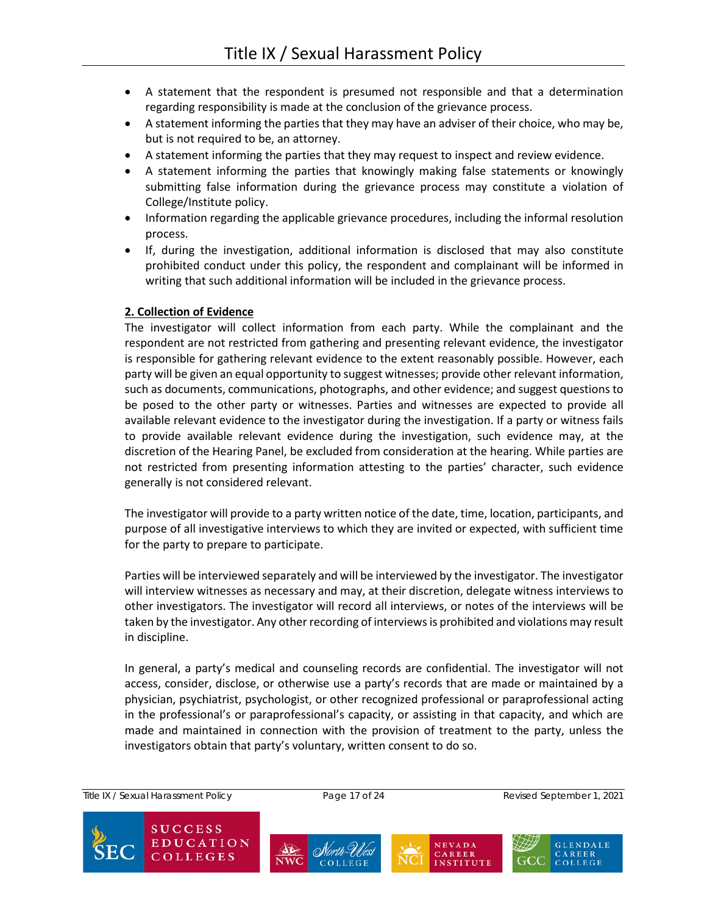- A statement that the respondent is presumed not responsible and that a determination regarding responsibility is made at the conclusion of the grievance process.
- A statement informing the parties that they may have an adviser of their choice, who may be, but is not required to be, an attorney.
- A statement informing the parties that they may request to inspect and review evidence.
- A statement informing the parties that knowingly making false statements or knowingly submitting false information during the grievance process may constitute a violation of College/Institute policy.
- Information regarding the applicable grievance procedures, including the informal resolution process.
- If, during the investigation, additional information is disclosed that may also constitute prohibited conduct under this policy, the respondent and complainant will be informed in writing that such additional information will be included in the grievance process.

## **2. Collection of Evidence**

The investigator will collect information from each party. While the complainant and the respondent are not restricted from gathering and presenting relevant evidence, the investigator is responsible for gathering relevant evidence to the extent reasonably possible. However, each party will be given an equal opportunity to suggest witnesses; provide other relevant information, such as documents, communications, photographs, and other evidence; and suggest questions to be posed to the other party or witnesses. Parties and witnesses are expected to provide all available relevant evidence to the investigator during the investigation. If a party or witness fails to provide available relevant evidence during the investigation, such evidence may, at the discretion of the Hearing Panel, be excluded from consideration at the hearing. While parties are not restricted from presenting information attesting to the parties' character, such evidence generally is not considered relevant.

The investigator will provide to a party written notice of the date, time, location, participants, and purpose of all investigative interviews to which they are invited or expected, with sufficient time for the party to prepare to participate.

Parties will be interviewed separately and will be interviewed by the investigator. The investigator will interview witnesses as necessary and may, at their discretion, delegate witness interviews to other investigators. The investigator will record all interviews, or notes of the interviews will be taken by the investigator. Any other recording of interviews is prohibited and violations may result in discipline.

In general, a party's medical and counseling records are confidential. The investigator will not access, consider, disclose, or otherwise use a party's records that are made or maintained by a physician, psychiatrist, psychologist, or other recognized professional or paraprofessional acting in the professional's or paraprofessional's capacity, or assisting in that capacity, and which are made and maintained in connection with the provision of treatment to the party, unless the investigators obtain that party's voluntary, written consent to do so.

Title IX / Sexual Harassment Policy **Page 17 of 24** Revised September 1, 2021









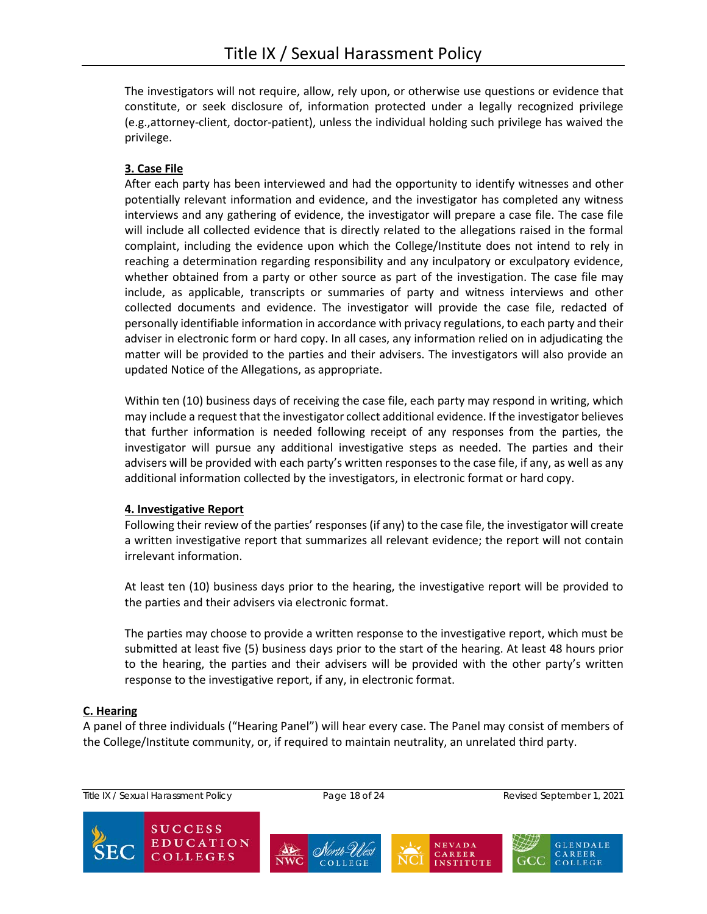The investigators will not require, allow, rely upon, or otherwise use questions or evidence that constitute, or seek disclosure of, information protected under a legally recognized privilege (e.g.,attorney-client, doctor-patient), unless the individual holding such privilege has waived the privilege.

## **3. Case File**

After each party has been interviewed and had the opportunity to identify witnesses and other potentially relevant information and evidence, and the investigator has completed any witness interviews and any gathering of evidence, the investigator will prepare a case file. The case file will include all collected evidence that is directly related to the allegations raised in the formal complaint, including the evidence upon which the College/Institute does not intend to rely in reaching a determination regarding responsibility and any inculpatory or exculpatory evidence, whether obtained from a party or other source as part of the investigation. The case file may include, as applicable, transcripts or summaries of party and witness interviews and other collected documents and evidence. The investigator will provide the case file, redacted of personally identifiable information in accordance with privacy regulations, to each party and their adviser in electronic form or hard copy. In all cases, any information relied on in adjudicating the matter will be provided to the parties and their advisers. The investigators will also provide an updated Notice of the Allegations, as appropriate.

Within ten (10) business days of receiving the case file, each party may respond in writing, which may include a request that the investigator collect additional evidence. If the investigator believes that further information is needed following receipt of any responses from the parties, the investigator will pursue any additional investigative steps as needed. The parties and their advisers will be provided with each party's written responses to the case file, if any, as well as any additional information collected by the investigators, in electronic format or hard copy.

#### **4. Investigative Report**

Following their review of the parties' responses (if any) to the case file, the investigator will create a written investigative report that summarizes all relevant evidence; the report will not contain irrelevant information.

At least ten (10) business days prior to the hearing, the investigative report will be provided to the parties and their advisers via electronic format.

The parties may choose to provide a written response to the investigative report, which must be submitted at least five (5) business days prior to the start of the hearing. At least 48 hours prior to the hearing, the parties and their advisers will be provided with the other party's written response to the investigative report, if any, in electronic format.

#### **C. Hearing**

A panel of three individuals ("Hearing Panel") will hear every case. The Panel may consist of members of the College/Institute community, or, if required to maintain neutrality, an unrelated third party.

Title IX / Sexual Harassment Policy **Page 18 of 24** Revised September 1, 2021





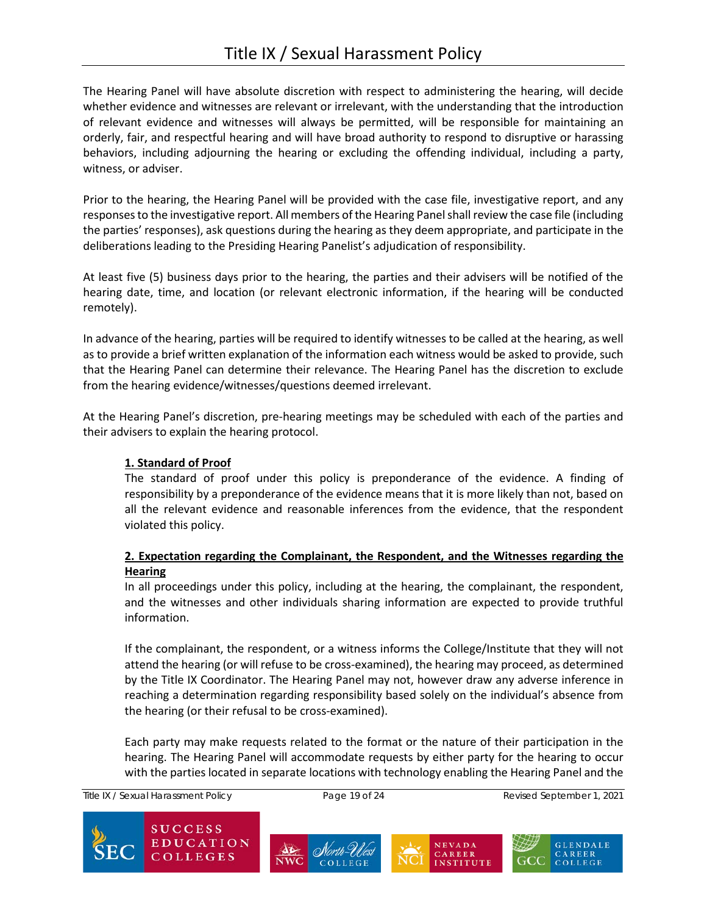The Hearing Panel will have absolute discretion with respect to administering the hearing, will decide whether evidence and witnesses are relevant or irrelevant, with the understanding that the introduction of relevant evidence and witnesses will always be permitted, will be responsible for maintaining an orderly, fair, and respectful hearing and will have broad authority to respond to disruptive or harassing behaviors, including adjourning the hearing or excluding the offending individual, including a party, witness, or adviser.

Prior to the hearing, the Hearing Panel will be provided with the case file, investigative report, and any responses to the investigative report. All members of the Hearing Panel shall review the case file (including the parties' responses), ask questions during the hearing as they deem appropriate, and participate in the deliberations leading to the Presiding Hearing Panelist's adjudication of responsibility.

At least five (5) business days prior to the hearing, the parties and their advisers will be notified of the hearing date, time, and location (or relevant electronic information, if the hearing will be conducted remotely).

In advance of the hearing, parties will be required to identify witnesses to be called at the hearing, as well as to provide a brief written explanation of the information each witness would be asked to provide, such that the Hearing Panel can determine their relevance. The Hearing Panel has the discretion to exclude from the hearing evidence/witnesses/questions deemed irrelevant.

At the Hearing Panel's discretion, pre-hearing meetings may be scheduled with each of the parties and their advisers to explain the hearing protocol.

## **1. Standard of Proof**

The standard of proof under this policy is preponderance of the evidence. A finding of responsibility by a preponderance of the evidence means that it is more likely than not, based on all the relevant evidence and reasonable inferences from the evidence, that the respondent violated this policy.

## **2. Expectation regarding the Complainant, the Respondent, and the Witnesses regarding the Hearing**

In all proceedings under this policy, including at the hearing, the complainant, the respondent, and the witnesses and other individuals sharing information are expected to provide truthful information.

If the complainant, the respondent, or a witness informs the College/Institute that they will not attend the hearing (or will refuse to be cross-examined), the hearing may proceed, as determined by the Title IX Coordinator. The Hearing Panel may not, however draw any adverse inference in reaching a determination regarding responsibility based solely on the individual's absence from the hearing (or their refusal to be cross-examined).

Each party may make requests related to the format or the nature of their participation in the hearing. The Hearing Panel will accommodate requests by either party for the hearing to occur with the parties located in separate locations with technology enabling the Hearing Panel and the

Title IX / Sexual Harassment Policy **Page 19 of 24** Revised September 1, 2021

**SUCCESS EDUCATION** COLLEGES





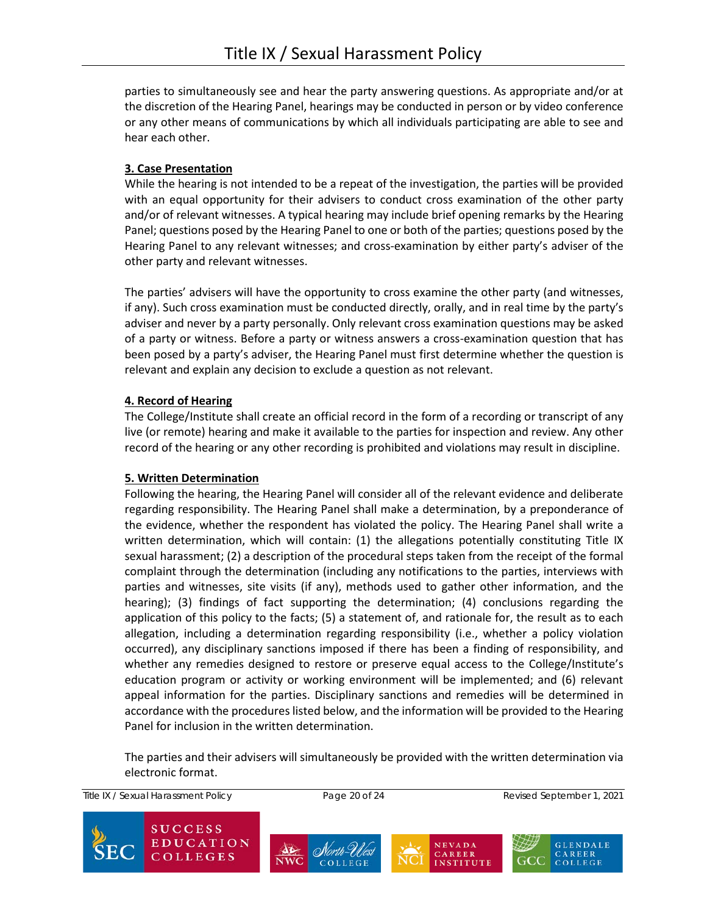parties to simultaneously see and hear the party answering questions. As appropriate and/or at the discretion of the Hearing Panel, hearings may be conducted in person or by video conference or any other means of communications by which all individuals participating are able to see and hear each other.

## **3. Case Presentation**

While the hearing is not intended to be a repeat of the investigation, the parties will be provided with an equal opportunity for their advisers to conduct cross examination of the other party and/or of relevant witnesses. A typical hearing may include brief opening remarks by the Hearing Panel; questions posed by the Hearing Panel to one or both of the parties; questions posed by the Hearing Panel to any relevant witnesses; and cross-examination by either party's adviser of the other party and relevant witnesses.

The parties' advisers will have the opportunity to cross examine the other party (and witnesses, if any). Such cross examination must be conducted directly, orally, and in real time by the party's adviser and never by a party personally. Only relevant cross examination questions may be asked of a party or witness. Before a party or witness answers a cross-examination question that has been posed by a party's adviser, the Hearing Panel must first determine whether the question is relevant and explain any decision to exclude a question as not relevant.

## **4. Record of Hearing**

The College/Institute shall create an official record in the form of a recording or transcript of any live (or remote) hearing and make it available to the parties for inspection and review. Any other record of the hearing or any other recording is prohibited and violations may result in discipline.

## **5. Written Determination**

Following the hearing, the Hearing Panel will consider all of the relevant evidence and deliberate regarding responsibility. The Hearing Panel shall make a determination, by a preponderance of the evidence, whether the respondent has violated the policy. The Hearing Panel shall write a written determination, which will contain: (1) the allegations potentially constituting Title IX sexual harassment; (2) a description of the procedural steps taken from the receipt of the formal complaint through the determination (including any notifications to the parties, interviews with parties and witnesses, site visits (if any), methods used to gather other information, and the hearing); (3) findings of fact supporting the determination; (4) conclusions regarding the application of this policy to the facts; (5) a statement of, and rationale for, the result as to each allegation, including a determination regarding responsibility (i.e., whether a policy violation occurred), any disciplinary sanctions imposed if there has been a finding of responsibility, and whether any remedies designed to restore or preserve equal access to the College/Institute's education program or activity or working environment will be implemented; and (6) relevant appeal information for the parties. Disciplinary sanctions and remedies will be determined in accordance with the procedures listed below, and the information will be provided to the Hearing Panel for inclusion in the written determination.

The parties and their advisers will simultaneously be provided with the written determination via electronic format.

Title IX / Sexual Harassment Policy **Page 20 of 24** Revised September 1, 2021



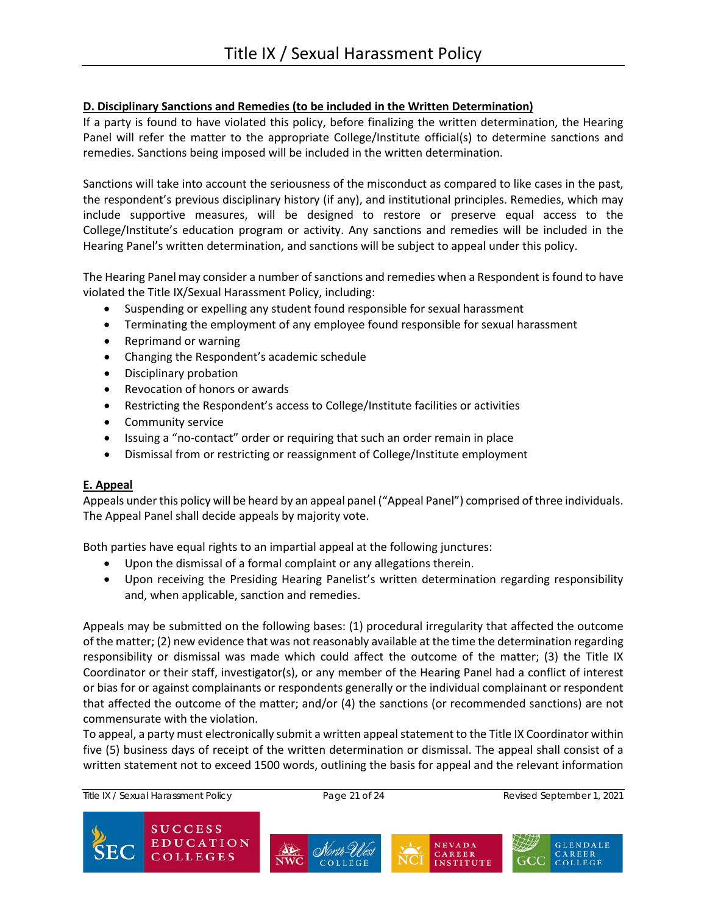## **D. Disciplinary Sanctions and Remedies (to be included in the Written Determination)**

If a party is found to have violated this policy, before finalizing the written determination, the Hearing Panel will refer the matter to the appropriate College/Institute official(s) to determine sanctions and remedies. Sanctions being imposed will be included in the written determination.

Sanctions will take into account the seriousness of the misconduct as compared to like cases in the past, the respondent's previous disciplinary history (if any), and institutional principles. Remedies, which may include supportive measures, will be designed to restore or preserve equal access to the College/Institute's education program or activity. Any sanctions and remedies will be included in the Hearing Panel's written determination, and sanctions will be subject to appeal under this policy.

The Hearing Panel may consider a number of sanctions and remedies when a Respondent is found to have violated the Title IX/Sexual Harassment Policy, including:

- Suspending or expelling any student found responsible for sexual harassment
- Terminating the employment of any employee found responsible for sexual harassment
- Reprimand or warning
- Changing the Respondent's academic schedule
- Disciplinary probation
- Revocation of honors or awards
- Restricting the Respondent's access to College/Institute facilities or activities
- Community service
- Issuing a "no-contact" order or requiring that such an order remain in place
- Dismissal from or restricting or reassignment of College/Institute employment

#### **E. Appeal**

Appeals under this policy will be heard by an appeal panel ("Appeal Panel") comprised of three individuals. The Appeal Panel shall decide appeals by majority vote.

Both parties have equal rights to an impartial appeal at the following junctures:

- Upon the dismissal of a formal complaint or any allegations therein.
- Upon receiving the Presiding Hearing Panelist's written determination regarding responsibility and, when applicable, sanction and remedies.

Appeals may be submitted on the following bases: (1) procedural irregularity that affected the outcome of the matter; (2) new evidence that was not reasonably available at the time the determination regarding responsibility or dismissal was made which could affect the outcome of the matter; (3) the Title IX Coordinator or their staff, investigator(s), or any member of the Hearing Panel had a conflict of interest or bias for or against complainants or respondents generally or the individual complainant or respondent that affected the outcome of the matter; and/or (4) the sanctions (or recommended sanctions) are not commensurate with the violation.

To appeal, a party must electronically submit a written appeal statement to the Title IX Coordinator within five (5) business days of receipt of the written determination or dismissal. The appeal shall consist of a written statement not to exceed 1500 words, outlining the basis for appeal and the relevant information

Title IX / Sexual Harassment Policy **Page 21 of 24** Revised September 1, 2021

**SUCCESS** 

**COLLEGES** 



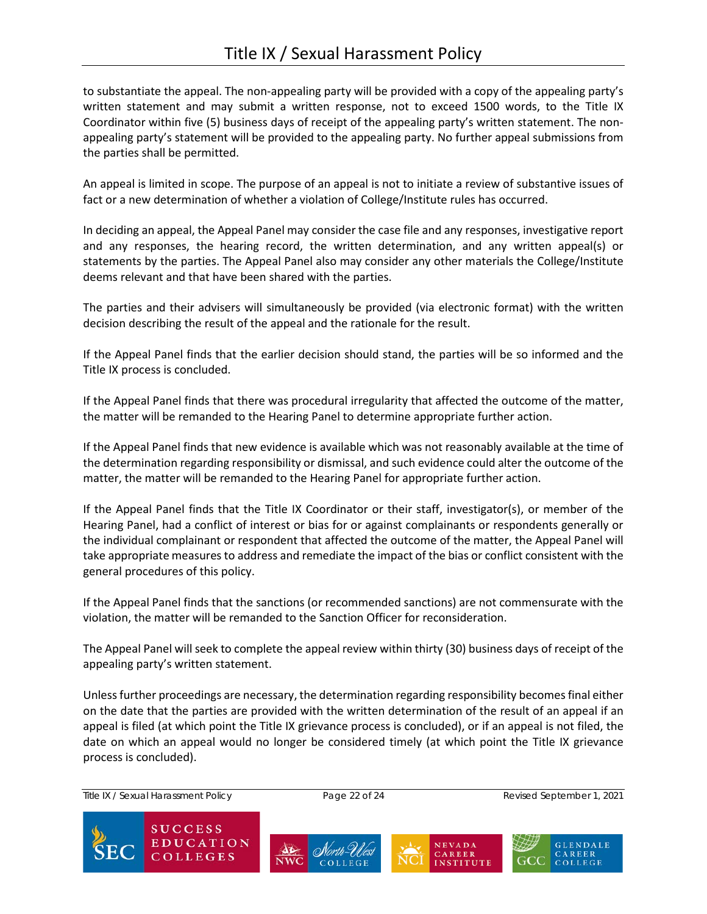to substantiate the appeal. The non-appealing party will be provided with a copy of the appealing party's written statement and may submit a written response, not to exceed 1500 words, to the Title IX Coordinator within five (5) business days of receipt of the appealing party's written statement. The nonappealing party's statement will be provided to the appealing party. No further appeal submissions from the parties shall be permitted.

An appeal is limited in scope. The purpose of an appeal is not to initiate a review of substantive issues of fact or a new determination of whether a violation of College/Institute rules has occurred.

In deciding an appeal, the Appeal Panel may consider the case file and any responses, investigative report and any responses, the hearing record, the written determination, and any written appeal(s) or statements by the parties. The Appeal Panel also may consider any other materials the College/Institute deems relevant and that have been shared with the parties.

The parties and their advisers will simultaneously be provided (via electronic format) with the written decision describing the result of the appeal and the rationale for the result.

If the Appeal Panel finds that the earlier decision should stand, the parties will be so informed and the Title IX process is concluded.

If the Appeal Panel finds that there was procedural irregularity that affected the outcome of the matter, the matter will be remanded to the Hearing Panel to determine appropriate further action.

If the Appeal Panel finds that new evidence is available which was not reasonably available at the time of the determination regarding responsibility or dismissal, and such evidence could alter the outcome of the matter, the matter will be remanded to the Hearing Panel for appropriate further action.

If the Appeal Panel finds that the Title IX Coordinator or their staff, investigator(s), or member of the Hearing Panel, had a conflict of interest or bias for or against complainants or respondents generally or the individual complainant or respondent that affected the outcome of the matter, the Appeal Panel will take appropriate measures to address and remediate the impact of the bias or conflict consistent with the general procedures of this policy.

If the Appeal Panel finds that the sanctions (or recommended sanctions) are not commensurate with the violation, the matter will be remanded to the Sanction Officer for reconsideration.

The Appeal Panel will seek to complete the appeal review within thirty (30) business days of receipt of the appealing party's written statement.

Unless further proceedings are necessary, the determination regarding responsibility becomes final either on the date that the parties are provided with the written determination of the result of an appeal if an appeal is filed (at which point the Title IX grievance process is concluded), or if an appeal is not filed, the date on which an appeal would no longer be considered timely (at which point the Title IX grievance process is concluded).

Title IX / Sexual Harassment Policy **Page 22 of 24** Revised September 1, 2021

SUCCESS

COLLEGES



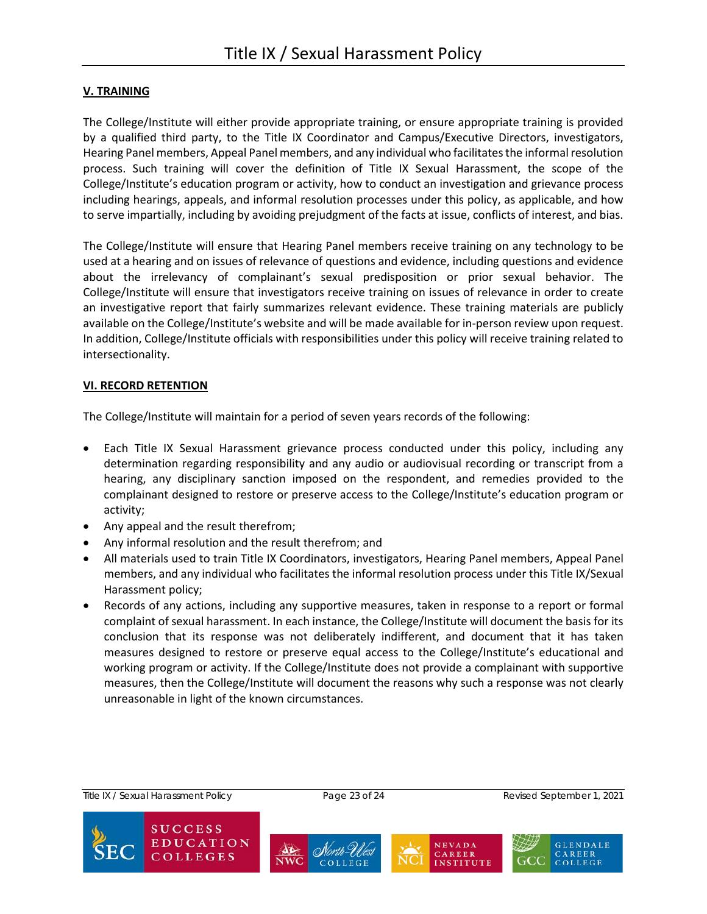## **V. TRAINING**

The College/Institute will either provide appropriate training, or ensure appropriate training is provided by a qualified third party, to the Title IX Coordinator and Campus/Executive Directors, investigators, Hearing Panel members, Appeal Panel members, and any individual who facilitates the informal resolution process. Such training will cover the definition of Title IX Sexual Harassment, the scope of the College/Institute's education program or activity, how to conduct an investigation and grievance process including hearings, appeals, and informal resolution processes under this policy, as applicable, and how to serve impartially, including by avoiding prejudgment of the facts at issue, conflicts of interest, and bias.

The College/Institute will ensure that Hearing Panel members receive training on any technology to be used at a hearing and on issues of relevance of questions and evidence, including questions and evidence about the irrelevancy of complainant's sexual predisposition or prior sexual behavior. The College/Institute will ensure that investigators receive training on issues of relevance in order to create an investigative report that fairly summarizes relevant evidence. These training materials are publicly available on the College/Institute's website and will be made available for in-person review upon request. In addition, College/Institute officials with responsibilities under this policy will receive training related to intersectionality.

#### **VI. RECORD RETENTION**

The College/Institute will maintain for a period of seven years records of the following:

- Each Title IX Sexual Harassment grievance process conducted under this policy, including any determination regarding responsibility and any audio or audiovisual recording or transcript from a hearing, any disciplinary sanction imposed on the respondent, and remedies provided to the complainant designed to restore or preserve access to the College/Institute's education program or activity;
- Any appeal and the result therefrom;
- Any informal resolution and the result therefrom; and
- All materials used to train Title IX Coordinators, investigators, Hearing Panel members, Appeal Panel members, and any individual who facilitates the informal resolution process under this Title IX/Sexual Harassment policy;
- Records of any actions, including any supportive measures, taken in response to a report or formal complaint of sexual harassment. In each instance, the College/Institute will document the basis for its conclusion that its response was not deliberately indifferent, and document that it has taken measures designed to restore or preserve equal access to the College/Institute's educational and working program or activity. If the College/Institute does not provide a complainant with supportive measures, then the College/Institute will document the reasons why such a response was not clearly unreasonable in light of the known circumstances.